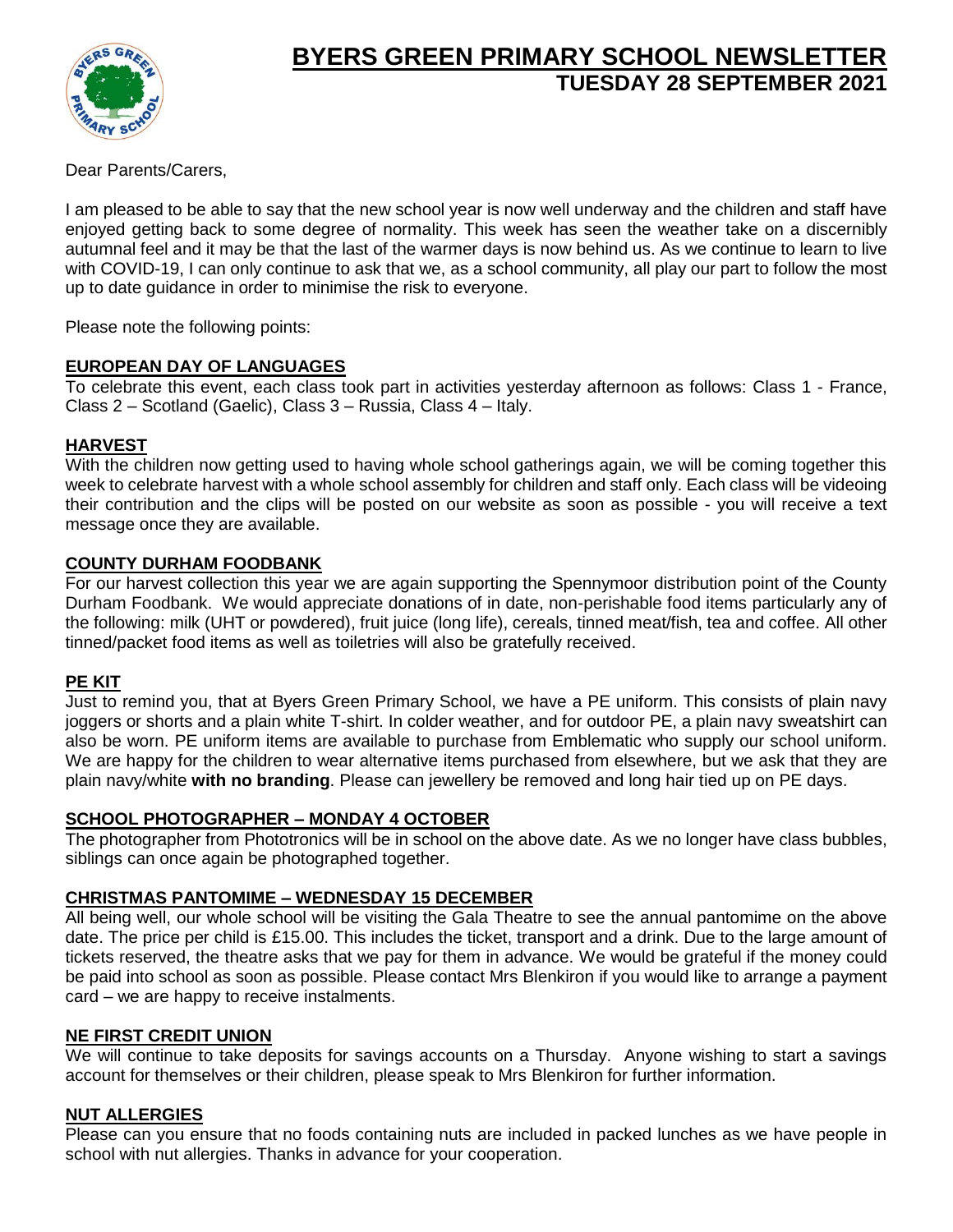

# **BYERS GREEN PRIMARY SCHOOL NEWSLETTER TUESDAY 28 SEPTEMBER 2021**

Dear Parents/Carers,

I am pleased to be able to say that the new school year is now well underway and the children and staff have enjoyed getting back to some degree of normality. This week has seen the weather take on a discernibly autumnal feel and it may be that the last of the warmer days is now behind us. As we continue to learn to live with COVID-19, I can only continue to ask that we, as a school community, all play our part to follow the most up to date guidance in order to minimise the risk to everyone.

Please note the following points:

## **EUROPEAN DAY OF LANGUAGES**

To celebrate this event, each class took part in activities yesterday afternoon as follows: Class 1 - France, Class 2 – Scotland (Gaelic), Class 3 – Russia, Class 4 – Italy.

## **HARVEST**

With the children now getting used to having whole school gatherings again, we will be coming together this week to celebrate harvest with a whole school assembly for children and staff only. Each class will be videoing their contribution and the clips will be posted on our website as soon as possible - you will receive a text message once they are available.

### **COUNTY DURHAM FOODBANK**

For our harvest collection this year we are again supporting the Spennymoor distribution point of the County Durham Foodbank. We would appreciate donations of in date, non-perishable food items particularly any of the following: milk (UHT or powdered), fruit juice (long life), cereals, tinned meat/fish, tea and coffee. All other tinned/packet food items as well as toiletries will also be gratefully received.

#### **PE KIT**

Just to remind you, that at Byers Green Primary School, we have a PE uniform. This consists of plain navy joggers or shorts and a plain white T-shirt. In colder weather, and for outdoor PE, a plain navy sweatshirt can also be worn. PE uniform items are available to purchase from Emblematic who supply our school uniform. We are happy for the children to wear alternative items purchased from elsewhere, but we ask that they are plain navy/white **with no branding**. Please can jewellery be removed and long hair tied up on PE days.

#### **SCHOOL PHOTOGRAPHER – MONDAY 4 OCTOBER**

The photographer from Phototronics will be in school on the above date. As we no longer have class bubbles, siblings can once again be photographed together.

## **CHRISTMAS PANTOMIME – WEDNESDAY 15 DECEMBER**

All being well, our whole school will be visiting the Gala Theatre to see the annual pantomime on the above date. The price per child is £15.00. This includes the ticket, transport and a drink. Due to the large amount of tickets reserved, the theatre asks that we pay for them in advance. We would be grateful if the money could be paid into school as soon as possible. Please contact Mrs Blenkiron if you would like to arrange a payment card – we are happy to receive instalments.

#### **NE FIRST CREDIT UNION**

We will continue to take deposits for savings accounts on a Thursday. Anyone wishing to start a savings account for themselves or their children, please speak to Mrs Blenkiron for further information.

#### **NUT ALLERGIES**

Please can you ensure that no foods containing nuts are included in packed lunches as we have people in school with nut allergies. Thanks in advance for your cooperation.